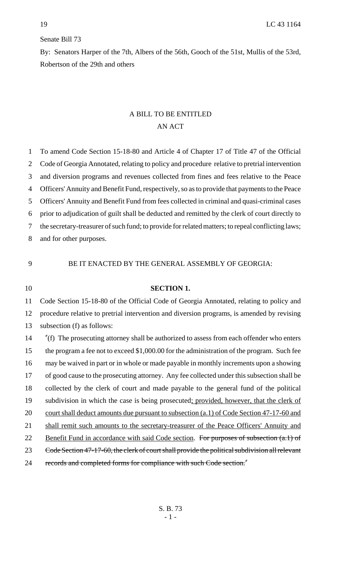## Senate Bill 73

By: Senators Harper of the 7th, Albers of the 56th, Gooch of the 51st, Mullis of the 53rd, Robertson of the 29th and others

# A BILL TO BE ENTITLED AN ACT

 To amend Code Section 15-18-80 and Article 4 of Chapter 17 of Title 47 of the Official Code of Georgia Annotated, relating to policy and procedure relative to pretrial intervention and diversion programs and revenues collected from fines and fees relative to the Peace Officers' Annuity and Benefit Fund, respectively, so as to provide that payments to the Peace Officers' Annuity and Benefit Fund from fees collected in criminal and quasi-criminal cases prior to adjudication of guilt shall be deducted and remitted by the clerk of court directly to the secretary-treasurer of such fund; to provide for related matters; to repeal conflicting laws; and for other purposes.

## 9 BE IT ENACTED BY THE GENERAL ASSEMBLY OF GEORGIA:

## 10 **SECTION 1.**

11 Code Section 15-18-80 of the Official Code of Georgia Annotated, relating to policy and 12 procedure relative to pretrial intervention and diversion programs, is amended by revising 13 subsection (f) as follows:

14 "(f) The prosecuting attorney shall be authorized to assess from each offender who enters 15 the program a fee not to exceed \$1,000.00 for the administration of the program. Such fee 16 may be waived in part or in whole or made payable in monthly increments upon a showing 17 of good cause to the prosecuting attorney. Any fee collected under this subsection shall be 18 collected by the clerk of court and made payable to the general fund of the political 19 subdivision in which the case is being prosecuted; provided, however, that the clerk of 20 court shall deduct amounts due pursuant to subsection (a.1) of Code Section 47-17-60 and 21 shall remit such amounts to the secretary-treasurer of the Peace Officers' Annuity and 22 Benefit Fund in accordance with said Code section. For purposes of subsection (a.1) of 23 Code Section 47-17-60, the clerk of court shall provide the political subdivision all relevant 24 records and completed forms for compliance with such Code section."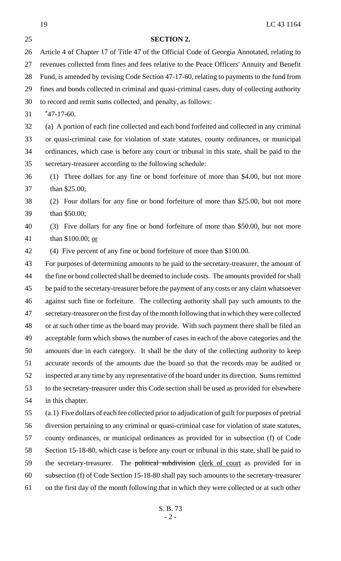19 LC 43 1164 S. B. 73 - 2 - **SECTION 2.** Article 4 of Chapter 17 of Title 47 of the Official Code of Georgia Annotated, relating to revenues collected from fines and fees relative to the Peace Officers' Annuity and Benefit Fund, is amended by revising Code Section 47-17-60, relating to payments to the fund from fines and bonds collected in criminal and quasi-criminal cases, duty of collecting authority to record and remit sums collected, and penalty, as follows: "47-17-60. (a) A portion of each fine collected and each bond forfeited and collected in any criminal or quasi-criminal case for violation of state statutes, county ordinances, or municipal ordinances, which case is before any court or tribunal in this state, shall be paid to the secretary-treasurer according to the following schedule: (1) Three dollars for any fine or bond forfeiture of more than \$4.00, but not more than \$25.00; (2) Four dollars for any fine or bond forfeiture of more than \$25.00, but not more than \$50.00; (3) Five dollars for any fine or bond forfeiture of more than \$50.00, but not more 41 than \$100.00; <u>or</u> (4) Five percent of any fine or bond forfeiture of more than \$100.00. For purposes of determining amounts to be paid to the secretary-treasurer, the amount of 44 the fine or bond collected shall be deemed to include costs. The amounts provided for shall be paid to the secretary-treasurer before the payment of any costs or any claim whatsoever against such fine or forfeiture. The collecting authority shall pay such amounts to the secretary-treasurer on the first day of the month following that in which they were collected or at such other time as the board may provide. With such payment there shall be filed an acceptable form which shows the number of cases in each of the above categories and the amounts due in each category. It shall be the duty of the collecting authority to keep accurate records of the amounts due the board so that the records may be audited or inspected at any time by any representative of the board under its direction. Sums remitted to the secretary-treasurer under this Code section shall be used as provided for elsewhere in this chapter. (a.1) Five dollars of each fee collected prior to adjudication of guilt for purposes of pretrial diversion pertaining to any criminal or quasi-criminal case for violation of state statutes, county ordinances, or municipal ordinances as provided for in subsection (f) of Code Section 15-18-80, which case is before any court or tribunal in this state, shall be paid to 59 the secretary-treasurer. The political subdivision clerk of court as provided for in subsection (f) of Code Section 15-18-80 shall pay such amounts to the secretary-treasurer on the first day of the month following that in which they were collected or at such other